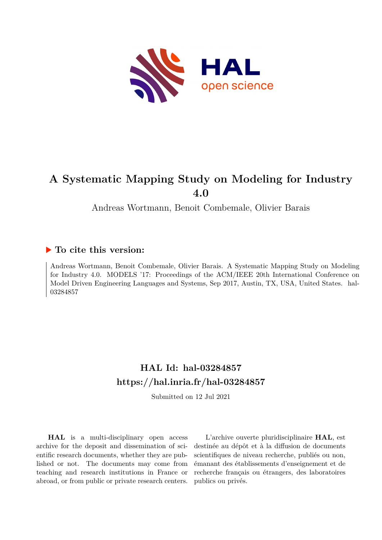

## **A Systematic Mapping Study on Modeling for Industry 4.0**

Andreas Wortmann, Benoit Combemale, Olivier Barais

### **To cite this version:**

Andreas Wortmann, Benoit Combemale, Olivier Barais. A Systematic Mapping Study on Modeling for Industry 4.0. MODELS '17: Proceedings of the ACM/IEEE 20th International Conference on Model Driven Engineering Languages and Systems, Sep 2017, Austin, TX, USA, United States. hal-03284857

## **HAL Id: hal-03284857 <https://hal.inria.fr/hal-03284857>**

Submitted on 12 Jul 2021

**HAL** is a multi-disciplinary open access archive for the deposit and dissemination of scientific research documents, whether they are published or not. The documents may come from teaching and research institutions in France or abroad, or from public or private research centers.

L'archive ouverte pluridisciplinaire **HAL**, est destinée au dépôt et à la diffusion de documents scientifiques de niveau recherche, publiés ou non, émanant des établissements d'enseignement et de recherche français ou étrangers, des laboratoires publics ou privés.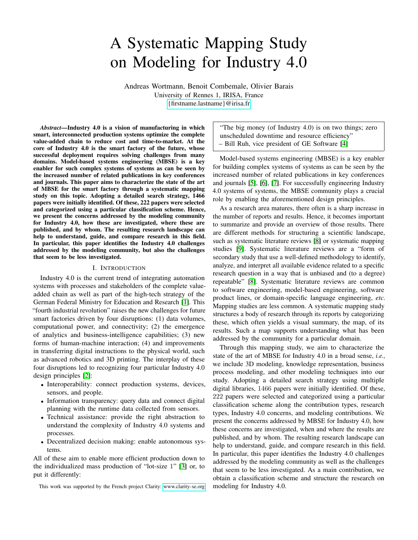# A Systematic Mapping Study on Modeling for Industry 4.0

Andreas Wortmann, Benoit Combemale, Olivier Barais University of Rennes 1, IRISA, France <{firstname.lastname}@irisa.fr>

*Abstract*—Industry 4.0 is a vision of manufacturing in which smart, interconnected production systems optimize the complete value-added chain to reduce cost and time-to-market. At the core of Industry 4.0 is the smart factory of the future, whose successful deployment requires solving challenges from many domains. Model-based systems engineering (MBSE) is a key enabler for such complex systems of systems as can be seen by the increased number of related publications in key conferences and journals. This paper aims to characterize the state of the art of MBSE for the smart factory through a systematic mapping study on this topic. Adopting a detailed search strategy, 1466 papers were initially identified. Of these, 222 papers were selected and categorized using a particular classification scheme. Hence, we present the concerns addressed by the modeling community for Industry 4.0, how these are investigated, where these are published, and by whom. The resulting research landscape can help to understand, guide, and compare research in this field. In particular, this paper identifies the Industry 4.0 challenges addressed by the modeling community, but also the challenges that seem to be less investigated.

#### I. INTRODUCTION

Industry 4.0 is the current trend of integrating automation systems with processes and stakeholders of the complete valueadded chain as well as part of the high-tech strategy of the German Federal Ministry for Education and Research [1]. This "fourth industrial revolution" raises the new challenges for future smart factories driven by four disruptions: (1) data volumes, computational power, and connectivity; (2) the emergence of analytics and business-intelligence capabilities; (3) new forms of human-machine interaction; (4) and improvements in transferring digital instructions to the physical world, such as advanced robotics and 3D printing. The interplay of these four disruptions led to recognizing four particular Industry 4.0 design principles [2]:

- Interoperability: connect production systems, devices, sensors, and people.
- Information transparency: query data and connect digital planning with the runtime data collected from sensors.
- Technical assistance: provide the right abstraction to understand the complexity of Industry 4.0 systems and processes.
- Decentralized decision making: enable autonomous systems.

All of these aim to enable more efficient production down to the individualized mass production of "lot-size 1" [3] or, to put it differently:

This work was supported by the French project Clarity:<www.clarity-se.org>

"The big money (of Industry 4.0) is on two things; zero unscheduled downtime and resource efficiency" – Bill Ruh, vice president of GE Software [4]

Model-based systems engineering (MBSE) is a key enabler for building complex systems of systems as can be seen by the increased number of related publications in key conferences and journals [5], [6], [7]. For successfully engineering Industry 4.0 systems of systems, the MBSE community plays a crucial role by enabling the aforementioned design principles.

As a research area matures, there often is a sharp increase in the number of reports and results. Hence, it becomes important to summarize and provide an overview of those results. There are different methods for structuring a scientific landscape, such as systematic literature reviews [8] or systematic mapping studies [9]. Systematic literature reviews are a "form of secondary study that use a well-defined methodology to identify, analyze, and interpret all available evidence related to a specific research question in a way that is unbiased and (to a degree) repeatable" [8]. Systematic literature reviews are common to software engineering, model-based engineering, software product lines, or domain-specific language engineering, *etc.* Mapping studies are less common. A systematic mapping study structures a body of research through its reports by categorizing these, which often yields a visual summary, the map, of its results. Such a map supports understanding what has been addressed by the community for a particular domain.

Through this mapping study, we aim to characterize the state of the art of MBSE for Industry 4.0 in a broad sense, *i.e.,* we include 3D modeling, knowledge representation, business process modeling, and other modeling techniques into our study. Adopting a detailed search strategy using multiple digital libraries, 1466 papers were initially identified. Of these, 222 papers were selected and categorized using a particular classification scheme along the contribution types, research types, Industry 4.0 concerns, and modeling contributions. We present the concerns addressed by MBSE for Industry 4.0, how these concerns are investigated, when and where the results are published, and by whom. The resulting research landscape can help to understand, guide, and compare research in this field. In particular, this paper identifies the Industry 4.0 challenges addressed by the modeling community as well as the challenges that seem to be less investigated. As a main contribution, we obtain a classification scheme and structure the research on modeling for Industry 4.0.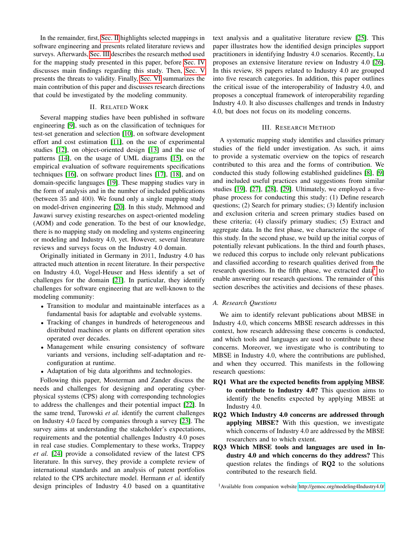In the remainder, first, Sec. II highlights selected mappings in software engineering and presents related literature reviews and surveys. Afterwards, Sec. III describes the research method used for the mapping study presented in this paper, before Sec. IV discusses main findings regarding this study. Then, Sec. V presents the threats to validity. Finally, Sec. VI summarizes the main contribution of this paper and discusses research directions that could be investigated by the modeling community.

#### II. RELATED WORK

Several mapping studies have been published in software engineering [9], such as on the classification of techniques for test-set generation and selection [10], on software development effort and cost estimation [11], on the use of experimental studies [12], on object-oriented design [13] and the use of patterns [14], on the usage of UML diagrams [15], on the empirical evaluation of software requirements specifications techniques [16], on software product lines [17], [18], and on domain-specific languages [19]. These mapping studies vary in the form of analysis and in the number of included publications (between 35 and 400). We found only a single mapping study on model-driven engineering [20]. In this study, Mehmood and Jawawi survey existing researches on aspect-oriented modeling (AOM) and code generation. To the best of our knowledge, there is no mapping study on modeling and systems engineering or modeling and Industry 4.0, yet. However, several literature reviews and surveys focus on the Industry 4.0 domain.

Originally initiated in Germany in 2011, Industry 4.0 has attracted much attention in recent literature. In their perspective on Industry 4.0, Vogel-Heuser and Hess identify a set of challenges for the domain [21]. In particular, they identify challenges for software engineering that are well-known to the modeling community:

- Transition to modular and maintainable interfaces as a fundamental basis for adaptable and evolvable systems.
- Tracking of changes in hundreds of heterogeneous and distributed machines or plants on different operation sites operated over decades.
- Management while ensuring consistency of software variants and versions, including self-adaptation and reconfiguration at runtime.
- Adaptation of big data algorithms and technologies.

Following this paper, Mosterman and Zander discuss the needs and challenges for designing and operating cyberphysical systems (CPS) along with corresponding technologies to address the challenges and their potential impact [22]. In the same trend, Turowski *et al.* identify the current challenges on Industry 4.0 faced by companies through a survey [23]. The survey aims at understanding the stakeholder's expectations, requirements and the potential challenges Industry 4.0 poses in real case studies. Complementary to these works, Trappey *et al.* [24] provide a consolidated review of the latest CPS literature. In this survey, they provide a complete review of international standards and an analysis of patent portfolios related to the CPS architecture model. Hermann *et al.* identify design principles of Industry 4.0 based on a quantitative

text analysis and a qualitative literature review [25]. This paper illustrates how the identified design principles support practitioners in identifying Industry 4.0 scenarios. Recently, Lu proposes an extensive literature review on Industry 4.0 [26]. In this review, 88 papers related to Industry 4.0 are grouped into five research categories. In addition, this paper outlines the critical issue of the interoperability of Industry 4.0, and proposes a conceptual framework of interoperability regarding Industry 4.0. It also discusses challenges and trends in Industry 4.0, but does not focus on its modeling concerns.

#### III. RESEARCH METHOD

A systematic mapping study identifies and classifies primary studies of the field under investigation. As such, it aims to provide a systematic overview on the topics of research contributed to this area and the forms of contribution. We conducted this study following established guidelines [8], [9] and included useful practices and suggestions from similar studies [19], [27], [28], [29]. Ultimately, we employed a fivephase process for conducting this study: (1) Define research questions; (2) Search for primary studies; (3) Identify inclusion and exclusion criteria and screen primary studies based on these criteria; (4) classify primary studies; (5) Extract and aggregate data. In the first phase, we characterize the scope of this study. In the second phase, we build up the initial corpus of potentially relevant publications. In the third and fourth phases, we reduced this corpus to include only relevant publications and classified according to research qualities derived from the research questions. In the fifth phase, we extracted data $<sup>1</sup>$  to</sup> enable answering our research questions. The remainder of this section describes the activities and decisions of these phases.

#### *A. Research Questions*

We aim to identify relevant publications about MBSE in Industry 4.0, which concerns MBSE research addresses in this context, how research addressing these concerns is conducted, and which tools and languages are used to contribute to these concerns. Moreover, we investigate who is contributing to MBSE in Industry 4.0, where the contributions are published, and when they occurred. This manifests in the following research questions:

- RQ1 What are the expected benefits from applying MBSE to contribute to Industry 4.0? This question aims to identify the benefits expected by applying MBSE at Industry 4.0.
- RQ2 Which Industry 4.0 concerns are addressed through applying MBSE? With this question, we investigate which concerns of Industry 4.0 are addressed by the MBSE researchers and to which extent.
- RQ3 Which MBSE tools and languages are used in Industry 4.0 and which concerns do they address? This question relates the findings of RQ2 to the solutions contributed to the research field.

<sup>1</sup>Available from companion website<http://gemoc.org/modeling4Industry4.0/>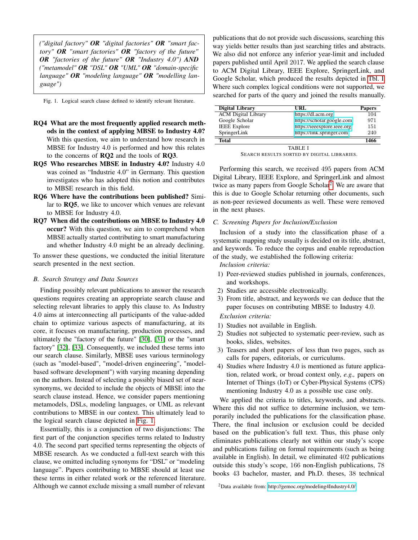*("digital factory" OR "digital factories" OR "smart factory" OR "smart factories" OR "factory of the future" OR "factories of the future" OR "Industry 4.0") AND ("metamodel" OR "DSL" OR "UML" OR "domain-specific language" OR "modeling language" OR "modelling language")*

Fig. 1. Logical search clause defined to identify relevant literature.

- RQ4 What are the most frequently applied research methods in the context of applying MBSE to Industry 4.0? With this question, we aim to understand how research in MBSE for Industry 4.0 is performed and how this relates to the concerns of RQ2 and the tools of RQ3.
- RQ5 Who researches MBSE in Industry 4.0? Industry 4.0 was coined as "Industrie 4.0" in Germany. This question investigates who has adopted this notion and contributes to MBSE research in this field.
- RQ6 Where have the contributions been published? Similar to RQ5, we like to uncover which venues are relevant to MBSE for Industry 4.0.
- RQ7 When did the contributions on MBSE to Industry 4.0 occur? With this question, we aim to comprehend when MBSE actually started contributing to smart manufacturing and whether Industry 4.0 might be an already declining.

To answer these questions, we conducted the initial literature search presented in the next section.

#### *B. Search Strategy and Data Sources*

Finding possibly relevant publications to answer the research questions requires creating an appropriate search clause and selecting relevant libraries to apply this clause to. As Industry 4.0 aims at interconnecting all participants of the value-added chain to optimize various aspects of manufacturing, at its core, it focuses on manufacturing, production processes, and ultimately the "factory of the future" [30], [31] or the "smart factory" [32], [33]. Consequently, we included these terms into our search clause. Similarly, MBSE uses various terminology (such as "model-based", "model-driven engineering", "modelbased software development") with varying meaning depending on the authors. Instead of selecting a possibly biased set of nearsynonyms, we decided to include the objects of MBSE into the search clause instead. Hence, we consider papers mentioning metamodels, DSLs, modeling languages, or UML as relevant contributions to MBSE in our context. This ultimately lead to the logical search clause depicted in Fig. 1.

Essentially, this is a conjunction of two disjunctions: The first part of the conjunction specifies terms related to Industry 4.0. The second part specified terms representing the objects of MBSE research. As we conducted a full-text search with this clause, we omitted including synonyms for "DSL" or "modeling language". Papers contributing to MBSE should at least use these terms in either related work or the referenced literature. Although we cannot exclude missing a small number of relevant publications that do not provide such discussions, searching this way yields better results than just searching titles and abstracts. We also did not enforce any inferior year-limit and included papers published until April 2017. We applied the search clause to ACM Digital Library, IEEE Explore, SpringerLink, and Google Scholar, which produced the results depicted in Tbl. I. Where such complex logical conditions were not supported, we searched for parts of the query and joined the results manually.

| Digital Library            | URL.                        | <b>Papers</b> |
|----------------------------|-----------------------------|---------------|
| <b>ACM</b> Digital Library | https://dl.acm.org          | 104           |
| Google Scholar             | https://scholar.google.com  | 971           |
| <b>IEEE</b> Explore        | https://ieeexplore.ieee.org | 151           |
| SpringerLink               | https://link.springer.com   | 240           |
| <b>Total</b>               |                             | 1466          |
|                            | TABLE I                     |               |

SEARCH RESULTS SORTED BY DIGITAL LIBRARIES.

Performing this search, we received 495 papers from ACM Digital Library, IEEE Explore, and SpringerLink and almost twice as many papers from Google Scholar<sup>2</sup>. We are aware that this is due to Google Scholar returning other documents, such as non-peer reviewed documents as well. These were removed in the next phases.

#### *C. Screening Papers for Inclusion/Exclusion*

Inclusion of a study into the classification phase of a systematic mapping study usually is decided on its title, abstract, and keywords. To reduce the corpus and enable reproduction of the study, we established the following criteria:

*Inclusion criteria:*

- 1) Peer-reviewed studies published in journals, conferences, and workshops.
- 2) Studies are accessible electronically.
- 3) From title, abstract, and keywords we can deduce that the paper focuses on contributing MBSE to Industry 4.0.

*Exclusion criteria:*

- 1) Studies not available in English.
- 2) Studies not subjected to systematic peer-review, such as books, slides, websites.
- 3) Teasers and short papers of less than two pages, such as calls for papers, editorials, or curriculums.
- 4) Studies where Industry 4.0 is mentioned as future application, related work, or broad context only, *e.g.,* papers on Internet of Things (IoT) or Cyber-Physical Systems (CPS) mentioning Industry 4.0 as a possible use case only.

We applied the criteria to titles, keywords, and abstracts. Where this did not suffice to determine inclusion, we temporarily included the publications for the classification phase. There, the final inclusion or exclusion could be decided based on the publication's full text. Thus, this phase only eliminates publications clearly not within our study's scope and publications failing on formal requirements (such as being available in English). In detail, we eliminated 402 publications outside this study's scope, 166 non-English publications, 78 books 43 bachelor, master, and Ph.D. theses, 38 technical

<sup>2</sup>Data available from:<http://gemoc.org/modeling4Industry4.0/>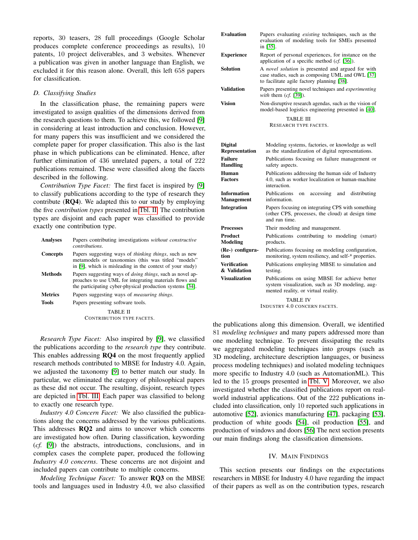reports, 30 teasers, 28 full proceedings (Google Scholar produces complete conference proceedings as results), 10 patents, 10 project deliverables, and 3 websites. Whenever a publication was given in another language than English, we excluded it for this reason alone. Overall, this left 658 papers for classification.

#### *D. Classifying Studies*

In the classification phase, the remaining papers were investigated to assign qualities of the dimensions derived from the research questions to them. To achieve this, we followed [9] in considering at least introduction and conclusion. However, for many papers this was insufficient and we considered the complete paper for proper classification. This also is the last phase in which publications can be eliminated. Hence, after further elimination of 436 unrelated papers, a total of 222 publications remained. These were classified along the facets described in the following.

*Contribution Type Facet:* The first facet is inspired by [9] to classify publications according to the type of research they contribute  $(RQ4)$ . We adapted this to our study by employing the five *contribution types* presented in Tbl. II. The contribution types are disjoint and each paper was classified to provide exactly one contribution type.

| <b>Analyses</b> | Papers contributing investigations without constructive<br><i>contributions</i>                                                                                                           |
|-----------------|-------------------------------------------------------------------------------------------------------------------------------------------------------------------------------------------|
| <b>Concepts</b> | Papers suggesting ways of <i>thinking things</i> , such as new<br>metamodels or taxonomies (this was titled "models"<br>in [9], which is misleading in the context of your study)         |
| <b>Methods</b>  | Papers suggesting ways of <i>doing things</i> , such as novel ap-<br>proaches to use UML for integrating materials flows and<br>the participating cyber-physical production systems [34]. |
| <b>Metrics</b>  | Papers suggesting ways of <i>measuring things</i> .                                                                                                                                       |
| <b>Tools</b>    | Papers presenting software tools.                                                                                                                                                         |
|                 | TABLE II                                                                                                                                                                                  |

CONTRIBUTION TYPE FACETS.

*Research Type Facet:* Also inspired by [9], we classified the publications according to the *research type* they contribute. This enables addressing RQ4 on the most frequently applied research methods contributed to MBSE for Industry 4.0. Again, we adjusted the taxonomy [9] to better match our study. In particular, we eliminated the category of philosophical papers as these did not occur. The resulting, disjoint, research types are depicted in Tbl. III. Each paper was classified to belong to exactly one research type.

*Industry 4.0 Concern Facet:* We also classified the publications along the concerns addressed by the various publications. This addresses RQ2 and aims to uncover which concerns are investigated how often. During classification, keywording (*cf.* [9]) the abstracts, introductions, conclusions, and in complex cases the complete paper, produced the following *Industry 4.0 concerns*. These concerns are not disjoint and included papers can contribute to multiple concerns.

*Modeling Technique Facet:* To answer RQ3 on the MBSE tools and languages used in Industry 4.0, we also classified

| <b>Evaluation</b>        | Papers evaluating <i>existing</i> techniques, such as the<br>evaluation of modeling tools for SMEs presented<br>in [35].                            |
|--------------------------|-----------------------------------------------------------------------------------------------------------------------------------------------------|
| <b>Experience</b>        | Report of personal experiences, for instance on the<br>application of a specific method $(cf. [36])$ .                                              |
| Solution                 | A novel solution is presented and argued for with<br>case studies, such as composing UML and OWL [37]<br>to facilitate agile factory planning [38]. |
| Validation               | Papers presenting novel techniques and <i>experimenting</i><br>with them $(cf. [39])$ .                                                             |
| Vision                   | Non-disruptive research agendas, such as the vision of<br>model-based logistics engineering presented in [40].                                      |
|                          | TABLE III                                                                                                                                           |
|                          |                                                                                                                                                     |
|                          | <b>RESEARCH TYPE FACETS.</b>                                                                                                                        |
|                          |                                                                                                                                                     |
|                          |                                                                                                                                                     |
| <b>Digital</b>           | Modeling systems, factories, or knowledge as well                                                                                                   |
| Representation           | as the standardization of digital representations.                                                                                                  |
| <b>Failure</b>           | Publications focusing on failure management or                                                                                                      |
| <b>Handling</b>          | safety aspects.                                                                                                                                     |
| Human                    | Publications addressing the human side of Industry                                                                                                  |
| <b>Factors</b>           | 4.0, such as worker localization or human-machine                                                                                                   |
|                          | interaction.                                                                                                                                        |
| <b>Information</b>       | <b>Publications</b><br>accessing<br>and<br>distributing<br>on                                                                                       |
| Management               | information.                                                                                                                                        |
|                          |                                                                                                                                                     |
| Integration              | Papers focusing on integrating CPS with something<br>(other CPS, processes, the cloud) at design time                                               |
|                          | and run time.                                                                                                                                       |
|                          |                                                                                                                                                     |
| <b>Processes</b>         | Their modeling and management.                                                                                                                      |
| <b>Product</b>           | Publications contributing to modeling (smart)                                                                                                       |
| <b>Modeling</b>          | products.                                                                                                                                           |
| (Re-) configura-<br>tion | Publications focusing on modeling configuration,<br>monitoring, system resiliency, and self-* properties.                                           |
| Verification             | Publications employing MBSE to simulation and                                                                                                       |
| & Validation             | testing.                                                                                                                                            |
| <b>Visualization</b>     | Publications on using MBSE for achieve better                                                                                                       |
|                          | system visualization, such as 3D modeling, aug-                                                                                                     |
|                          | mented reality, or virtual reality.                                                                                                                 |
|                          |                                                                                                                                                     |
|                          | TABLE IV                                                                                                                                            |

INDUSTRY 4.0 CONCERN FACETS.

the publications along this dimension. Overall, we identified 81 *modeling techniques* and many papers addressed more than one modeling technique. To prevent dissipating the results we aggregated modeling techniques into groups (such as 3D modeling, architecture description languages, or business process modeling techniques) and isolated modeling techniques more specific to Industry 4.0 (such as AutomationML). This led to the 15 groups presented in Tbl. V. Moreover, we also investigated whether the classified publications report on realworld industrial applications. Out of the 222 publications included into classification, only 10 reported such applications in automotive [52], avionics manufacturing [47], packaging [53], production of white goods [54], oil production [55], and production of windows and doors [56] The next section presents our main findings along the classification dimensions.

#### IV. MAIN FINDINGS

This section presents our findings on the expectations researchers in MBSE for Industry 4.0 have regarding the impact of their papers as well as on the contribution types, research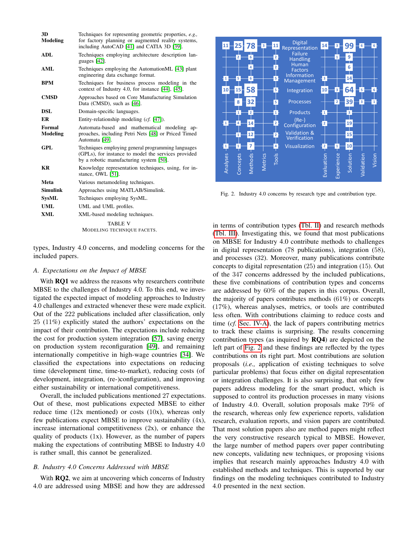| 3D<br>Modeling            | Techniques for representing geometric properties, e.g.,<br>for factory planning or augmented reality systems,<br>including AutoCAD [41] and CATIA 3D [39]. |
|---------------------------|------------------------------------------------------------------------------------------------------------------------------------------------------------|
| ADL                       | Techniques employing architecture description lan-<br>guages [42].                                                                                         |
| AML                       | Techniques employing the AutomationML [43] plant<br>engineering data exchange format.                                                                      |
| <b>BPM</b>                | Techniques for business process modeling in the<br>context of Industry 4.0, for instance [44], [45].                                                       |
| <b>CMSD</b>               | Approaches based on Core Manufacturing Simulation<br>Data (CMSD), such as [46].                                                                            |
| DSL                       | Domain-specific languages.                                                                                                                                 |
| ER                        | Entity-relationship modeling (cf. [47]).                                                                                                                   |
| <b>Formal</b><br>Modeling | Automata-based and mathematical modeling ap-<br>proaches, including Petri Nets [48] or Priced Timed<br>Automata [49].                                      |
| GPL                       | Techniques employing general programming languages<br>(GPLs), for instance to model the services provided<br>by a robotic manufacturing system [50].       |
| <b>KR</b>                 | Knowledge representation techniques, using, for in-<br>stance, OWL [51].                                                                                   |
| Meta                      | Various metamodeling techniques.                                                                                                                           |
| <b>Simulink</b>           | Approaches using MATLAB/Simulink.                                                                                                                          |
| <b>SysML</b>              | Techniques employing SysML.                                                                                                                                |
| <b>UML</b>                | UML and UML profiles.                                                                                                                                      |
| XML                       | XML-based modeling techniques.                                                                                                                             |
|                           | TABLE V<br>MODELING TECHNIQUE FACETS.                                                                                                                      |

types, Industry 4.0 concerns, and modeling concerns for the included papers.

#### *A. Expectations on the Impact of MBSE*

With RQ1 we address the reasons why researchers contribute MBSE to the challenges of Industry 4.0. To this end, we investigated the expected impact of modeling approaches to Industry 4.0 challenges and extracted whenever these were made explicit. Out of the 222 publications included after classification, only 25 (11%) explicitly stated the authors' expectations on the impact of their contribution. The expectations include reducing the cost for production system integration [57], saving energy on production system reconfiguration [49], and remaining internationally competitive in high-wage countries [34]. We classified the expectations into expectations on reducing time (development time, time-to-market), reducing costs (of development, integration, (re-)configuration), and improving either sustainability or international competitiveness.

Overall, the included publications mentioned 27 expectations. Out of these, most publications expected MBSE to either reduce time  $(12x$  mentioned) or costs  $(10x)$ , whereas only few publications expect MBSE to improve sustainability (4x), increase international competitiveness (2x), or enhance the quality of products  $(1x)$ . However, as the number of papers making the expectations of contributing MBSE to Industry 4.0 is rather small, this cannot be generalized.

#### *B. Industry 4.0 Concerns Addressed with MBSE*

With **RO2**, we aim at uncovering which concerns of Industry 4.0 are addressed using MBSE and how they are addressed



Fig. 2. Industry 4.0 concerns by research type and contribution type.

in terms of contribution types (Tbl. II) and research methods (Tbl. III). Investigating this, we found that most publications on MBSE for Industry 4.0 contribute methods to challenges in digital representation (78 publications), integration (58), and processes (32). Moreover, many publications contribute concepts to digital representation (25) and integration (15). Out of the 347 concerns addressed by the included publications, these five combinations of contribution types and concerns are addressed by 60% of the papers in this corpus. Overall, the majority of papers contributes methods (61%) or concepts (17%), whereas analyses, metrics, or tools are contributed less often. With contributions claiming to reduce costs and time (*cf.* Sec. IV-A), the lack of papers contributing metrics to track these claims is surprising. The results concerning contribution types (as inquired by RQ4) are depicted on the left part of Fig. 2 and these findings are reflected by the types contributions on its right part. Most contributions are solution proposals (*i.e.,* application of existing techniques to solve particular problems) that focus either on digital representation or integration challenges. It is also surprising, that only few papers address modeling for the smart product, which is supposed to control its production processes in many visions of Industry 4.0. Overall, solution proposals make 79% of the research, whereas only few experience reports, validation research, evaluation reports, and vision papers are contributed. That most solution papers also are method papers might reflect the very constructive research typical to MBSE. However, the large number of method papers over paper contributing new concepts, validating new techniques, or proposing visions implies that research mainly approaches Industry 4.0 with established methods and techniques. This is supported by our findings on the modeling techniques contributed to Industry 4.0 presented in the next section.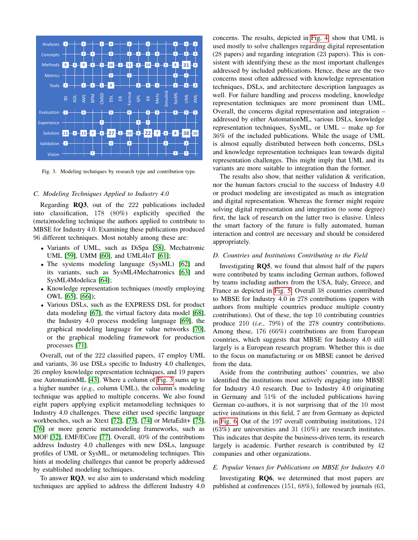

Fig. 3. Modeling techniques by research type and contribution type.

#### *C. Modeling Techniques Applied to Industry 4.0*

Regarding RQ3, out of the 222 publications included into classification, 178 (80%) explicitly specified the (meta)modeling technique the authors applied to contribute to MBSE for Industry 4.0. Examining these publications produced 96 different techniques. Most notably among these are:

- Variants of UML, such as DiSpa [58], Mechatronic UML [59], UMM [60], and UML4IoT [61];
- The systems modeling language (SysML) [62] and its variants, such as SysML4Mechatronics [63] and SysML4Modelica [64];
- Knowledge representation techniques (mostly employing OWL [65], [66]);
- Various DSLs, such as the EXPRESS DSL for product data modeling [67], the virtual factory data model [68], the Industry 4.0 process modeling language [69], the graphical modeling language for value networks [70], or the graphical modeling framework for production processes [71].

Overall, out of the 222 classified papers, 47 employ UML and variants, 36 use DSLs specific to Industry 4.0 challenges, 26 employ knowledge representation techniques, and 19 papers use AutomationML [43]. Where a column of Fig. 3 sums up to a higher number (*e.g.,* column UML), the column's modeling technique was applied to multiple concerns. We also found eight papers applying explicit metamodeling techniques to Industry 4.0 challenges. These either used specific language workbenches, such as Xtext [72], [73], [74] or MetaEdit+ [75], [76] or more generic metamodeling frameworks, such as MOF [32], EMF/ECore [77]. Overall, 40% of the contributions address Industry 4.0 challenges with new DSLs, language profiles of UML or SysML, or metamodeling techniques. This hints at modeling challenges that cannot be properly addressed by established modeling techniques.

To answer RQ3, we also aim to understand which modeling techniques are applied to address the different Industry 4.0 concerns. The results, depicted in Fig. 4, show that UML is used mostly to solve challenges regarding digital representation (28 papers) and regarding integration (23 papers). This is consistent with identifying these as the most important challenges addressed by included publications. Hence, these are the two concerns most often addressed with knowledge representation techniques, DSLs, and architecture description languages as well. For failure handling and process modeling, knowledge representation techniques are more prominent than UML. Overall, the concerns digital representation and integration – addressed by either AutomationML, various DSLs, knowledge representation techniques, SysML, or UML – make up for 36% of the included publications. While the usage of UML is almost equally distributed between both concerns, DSLs and knowledge representation techniques lean towards digital representation challenges. This might imply that UML and its variants are more suitable to integration than the former.

The results also show, that neither validation & verification, nor the human factors crucial to the success of Industry 4.0 or product modeling are investigated as much as integration and digital representation. Whereas the former might require solving digital representation and integration (to some degree) first, the lack of research on the latter two is elusive. Unless the smart factory of the future is fully automated, human interaction and control are necessary and should be considered appropriately.

#### *D. Countries and Institutions Contributing to the Field*

Investigating RQ5, we found that almost half of the papers were contributed by teams including German authors, followed by teams including authors from the USA, Italy, Greece, and France as depicted in Fig. 5. Overall 38 countries contributed to MBSE for Industry 4.0 in 278 contributions (papers with authors from multiple countries produce multiple country contributions). Out of these, the top 10 contributing countries produce 210 (*i.e.,* 79%) of the 278 country contributions. Among these, 176 (66%) contributions are from European countries, which suggests that MBSE for Industry 4.0 still largely is a European research program. Whether this is due to the focus on manufacturing or on MBSE cannot be derived from the data.

Aside from the contributing authors' countries, we also identified the institutions most actively engaging into MBSE for Industry 4.0 research. Due to Industry 4.0 originating in Germany and 51% of the included publications having German co-authors, it is not surprising that of the 10 most active institutions in this field, 7 are from Germany as depicted in Fig. 6. Out of the 197 overall contributing institutions, 124 (63%) are universities and 31 (16%) are research institutes. This indicates that despite the business-driven term, its research largely is academic. Further research is contributed by 42 companies and other organizations.

#### *E. Popular Venues for Publications on MBSE for Industry 4.0*

Investigating RQ6, we determined that most papers are published at conferences (151, 68%), followed by journals (63,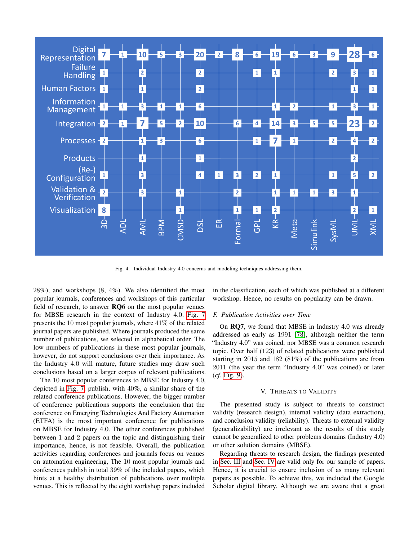

Fig. 4. Individual Industry 4.0 concerns and modeling techniques addressing them.

28%), and workshops (8, 4%). We also identified the most popular journals, conferences and workshops of this particular field of research, to answer RQ6 on the most popular venues for MBSE research in the context of Industry 4.0. Fig. 7 presents the 10 most popular journals, where 41% of the related journal papers are published. Where journals produced the same number of publications, we selected in alphabetical order. The low numbers of publications in these most popular journals, however, do not support conclusions over their importance. As the Industry 4.0 will mature, future studies may draw such conclusions based on a larger corpus of relevant publications.

The 10 most popular conferences to MBSE for Industry 4.0, depicted in Fig. 7, publish, with 40%, a similar share of the related conference publications. However, the bigger number of conference publications supports the conclusion that the conference on Emerging Technologies And Factory Automation (ETFA) is the most important conference for publications on MBSE for Industry 4.0. The other conferences published between 1 and 2 papers on the topic and distinguishing their importance, hence, is not feasible. Overall, the publication activities regarding conferences and journals focus on venues on automation engineering, The 10 most popular journals and conferences publish in total 39% of the included papers, which hints at a healthy distribution of publications over multiple venues. This is reflected by the eight workshop papers included

in the classification, each of which was published at a different workshop. Hence, no results on popularity can be drawn.

#### *F. Publication Activities over Time*

On RQ7, we found that MBSE in Industry 4.0 was already addressed as early as 1991 [78], although neither the term "Industry 4.0" was coined, nor MBSE was a common research topic. Over half (123) of related publications were published starting in 2015 and 182 (81%) of the publications are from 2011 (the year the term "Industry 4.0" was coined) or later (*cf.* Fig. 9).

#### V. THREATS TO VALIDITY

The presented study is subject to threats to construct validity (research design), internal validity (data extraction), and conclusion validity (reliability). Threats to external validity (generalizability) are irrelevant as the results of this study cannot be generalized to other problems domains (Industry 4.0) or other solution domains (MBSE).

Regarding threats to research design, the findings presented in Sec. III and Sec. IV are valid only for our sample of papers. Hence, it is crucial to ensure inclusion of as many relevant papers as possible. To achieve this, we included the Google Scholar digital library. Although we are aware that a great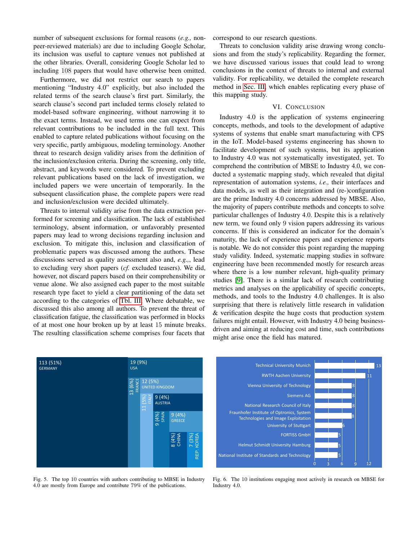number of subsequent exclusions for formal reasons (*e.g.,* nonpeer-reviewed materials) are due to including Google Scholar, its inclusion was useful to capture venues not published at the other libraries. Overall, considering Google Scholar led to including 108 papers that would have otherwise been omitted.

Furthermore, we did not restrict our search to papers mentioning "Industry 4.0" explicitly, but also included the related terms of the search clause's first part. Similarly, the search clause's second part included terms closely related to model-based software engineering, without narrowing it to the exact terms. Instead, we used terms one can expect from relevant contributions to be included in the full text. This enabled to capture related publications without focusing on the very specific, partly ambiguous, modeling terminology. Another threat to research design validity arises from the definition of the inclusion/exclusion criteria. During the screening, only title, abstract, and keywords were considered. To prevent excluding relevant publications based on the lack of investigation, we included papers we were uncertain of temporarily. In the subsequent classification phase, the complete papers were read and inclusion/exclusion were decided ultimately.

Threats to internal validity arise from the data extraction performed for screening and classification. The lack of established terminology, absent information, or unfavorably presented papers may lead to wrong decisions regarding inclusion and exclusion. To mitigate this, inclusion and classification of problematic papers was discussed among the authors. These discussions served as quality assessment also and, *e.g.,*, lead to excluding very short papers (*cf.* excluded teasers). We did, however, not discard papers based on their comprehensibility or venue alone. We also assigned each paper to the most suitable research type facet to yield a clear partitioning of the data set according to the categories of Tbl. III. Where debatable, we discussed this also among all authors. To prevent the threat of classification fatigue, the classification was performed in blocks of at most one hour broken up by at least 15 minute breaks. The resulting classification scheme comprises four facets that

correspond to our research questions.

Threats to conclusion validity arise drawing wrong conclusions and from the study's replicability. Regarding the former, we have discussed various issues that could lead to wrong conclusions in the context of threats to internal and external validity. For replicability, we detailed the complete research method in Sec. III, which enables replicating every phase of this mapping study.

#### VI. CONCLUSION

Industry 4.0 is the application of systems engineering concepts, methods, and tools to the development of adaptive systems of systems that enable smart manufacturing with CPS in the IoT. Model-based systems engineering has shown to facilitate development of such systems, but its application to Industry 4.0 was not systematically investigated, yet. To comprehend the contribution of MBSE to Industry 4.0, we conducted a systematic mapping study, which revealed that digital representation of automation systems, *i.e.,* their interfaces and data models, as well as their integration and (re-)configuration are the prime Industry 4.0 concerns addressed by MBSE. Also, the majority of papers contribute methods and concepts to solve particular challenges of Industry 4.0. Despite this is a relatively new term, we found only 9 vision papers addressing its various concerns. If this is considered an indicator for the domain's maturity, the lack of experience papers and experience reports is notable. We do not consider this point regarding the mapping study validity. Indeed, systematic mapping studies in software engineering have been recommended mostly for research areas where there is a low number relevant, high-quality primary studies [9]. There is a similar lack of research contributing metrics and analyses on the applicability of specific concepts, methods, and tools to the Industry 4.0 challenges. It is also surprising that there is relatively little research in validation & verification despite the huge costs that production system failures might entail. However, with Industry 4.0 being businessdriven and aiming at reducing cost and time, such contributions might arise once the field has matured.



0 3 6 9 12 University of Stuttgart Vienna University of Technology FORTISS GmbH Helmut Schmidt University Hamburg National Institute of Standards and Technology Fraunhofer Institute of Optronics, System Technologies and Image Exploitation Siemens AG National Research Council of Italy RWTH Aachen University Technical University Munich 6 8 5 8 8 11 13 8

Fig. 5. The top 10 countries with authors contributing to MBSE in Industry 4.0 are mostly from Europe and contribute 79% of the publications.

Fig. 6. The 10 institutions engaging most actively in research on MBSE for Industry 4.0.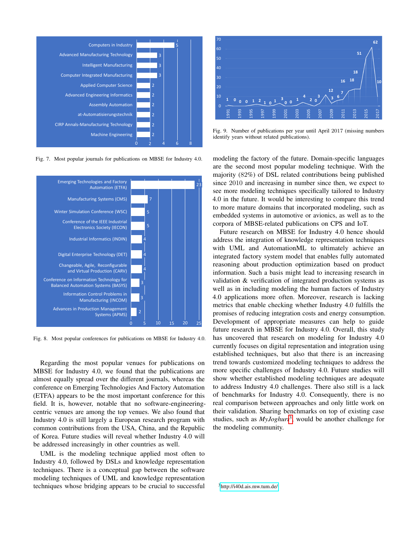

Fig. 7. Most popular journals for publications on MBSE for Industry 4.0.



Fig. 8. Most popular conferences for publications on MBSE for Industry 4.0.

Regarding the most popular venues for publications on MBSE for Industry 4.0, we found that the publications are almost equally spread over the different journals, whereas the conference on Emerging Technologies And Factory Automation (ETFA) appears to be the most important conference for this field. It is, however, notable that no software-engineeringcentric venues are among the top venues. We also found that Industry 4.0 is still largely a European research program with common contributions from the USA, China, and the Republic of Korea. Future studies will reveal whether Industry 4.0 will be addressed increasingly in other countries as well.

UML is the modeling technique applied most often to Industry 4.0, followed by DSLs and knowledge representation techniques. There is a conceptual gap between the software modeling techniques of UML and knowledge representation techniques whose bridging appears to be crucial to successful



Fig. 9. Number of publications per year until April 2017 (missing numbers identify years without related publications).

modeling the factory of the future. Domain-specific languages are the second most popular modeling technique. With the majority (82%) of DSL related contributions being published since 2010 and increasing in number since then, we expect to see more modeling techniques specifically tailored to Industry 4.0 in the future. It would be interesting to compare this trend to more mature domains that incorporated modeling, such as embedded systems in automotive or avionics, as well as to the corpora of MBSE-related publications on CPS and IoT.

Future research on MBSE for Industry 4.0 hence should address the integration of knowledge representation techniques with UML and AutomationML to ultimately achieve an integrated factory system model that enables fully automated reasoning about production optimization based on product information. Such a basis might lead to increasing research in validation & verification of integrated production systems as well as in including modeling the human factors of Industry 4.0 applications more often. Moreover, research is lacking metrics that enable checking whether Industry 4.0 fulfills the promises of reducing integration costs and energy consumption. Development of appropriate measures can help to guide future research in MBSE for Industry 4.0. Overall, this study has uncovered that research on modeling for Industry 4.0 currently focuses on digital representation and integration using established techniques, but also that there is an increasing trend towards customized modeling techniques to address the more specific challenges of Industry 4.0. Future studies will show whether established modeling techniques are adequate to address Industry 4.0 challenges. There also still is a lack of benchmarks for Industry 4.0. Consequently, there is no real comparison between approaches and only little work on their validation. Sharing benchmarks on top of existing case studies, such as *MyJoghurt*<sup>3</sup>, would be another challenge for the modeling community.

<sup>3</sup><http://i40d.ais.mw.tum.de/>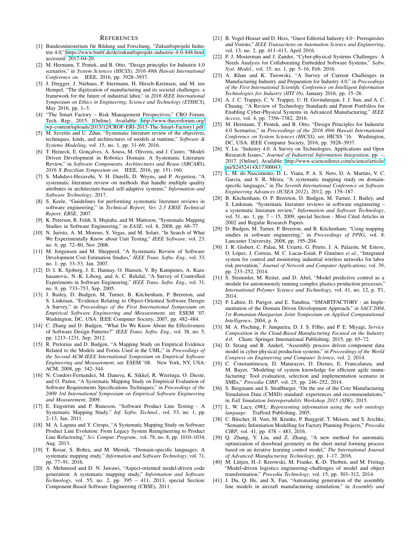#### **REFERENCES**

- [1] Bundesministerium für Bildung und Forschung, "Zukunftsprojekt Industrie 4.0," [https://www.bmbf.de/de/zukunftsprojekt-industrie-4-0-848.html,](https://www.bmbf.de/de/zukunftsprojekt-industrie-4-0-848.html) accessed: 2017-04-20.
- [2] M. Hermann, T. Pentek, and B. Otto, "Design principles for Industrie 4.0 scenarios," in *System Sciences (HICSS), 2016 49th Hawaii International Conference on*. IEEE, 2016, pp. 3928–3937.
- [3] J. Dregger, J. Niehaus, P. Ittermann, H. Hirsch-Kreinsen, and M. ten Hompel, "The digitization of manufacturing and its societal challenges: a framework for the future of industrial labor," in *2016 IEEE International Symposium on Ethics in Engineering, Science and Technology (ETHICS)*, May 2016, pp. 1–3.
- [4] "The Smart Factory Risk Management Perspectives," CRO Forum, Tech. Rep., 2015. [Online]. Available: [http://www.thecroforum.org/](http://www.thecroforum.org/wp-content/uploads/2015/12/CROF-ERI-2015-The-Smart-Factory1.pdf) [wp-content/uploads/2015/12/CROF-ERI-2015-The-Smart-Factory1.pdf](http://www.thecroforum.org/wp-content/uploads/2015/12/CROF-ERI-2015-The-Smart-Factory1.pdf)
- [5] M. Szvetits and U. Zdun, "Systematic literature review of the objectives, techniques, kinds, and architectures of models at runtime," *Software & Systems Modeling*, vol. 15, no. 1, pp. 31–69, 2016.
- [6] T. Heineck, E. Gonçalves, A. Sousa, M. Oliveira, and J. Castro, "Model-Driven Development in Robotics Domain: A Systematic Literature Review," in *Software Components, Architectures and Reuse (SBCARS), 2016 X Brazilian Symposium on*. IEEE, 2016, pp. 151–160.
- [7] S. Mahdavi-Hezavehi, V. H. Durelli, D. Weyns, and P. Avgeriou, "A systematic literature review on methods that handle multiple quality attributes in architecture-based self-adaptive systems," *Information and Software Technology*, 2017.
- [8] S. Keele, "Guidelines for performing systematic literature reviews in software engineering," in *Technical Report, Ver. 2.3 EBSE Technical Report. EBSE*, 2007.
- [9] K. Petersen, R. Feldt, S. Mujtaba, and M. Mattsson, "Systematic Mapping Studies in Software Engineering," in *EASE*, vol. 8, 2008, pp. 68–77.
- [10] N. Juristo, A. M. Moreno, S. Vegas, and M. Solari, "In Search of What We Experimentally Know about Unit Testing," *IEEE Software*, vol. 23, no. 6, pp. 72–80, Nov 2006.
- [11] M. Jorgensen and M. Shepperd, "A Systematic Review of Software Development Cost Estimation Studies," *IEEE Trans. Softw. Eng.*, vol. 33, no. 1, pp. 33–53, Jan. 2007.
- [12] D. I. K. Sjoberg, J. E. Hannay, O. Hansen, V. By Kampenes, A. Karahasanovic, N.-K. Liborg, and A. C. Rekdal, "A Survey of Controlled Experiments in Software Engineering," *IEEE Trans. Softw. Eng.*, vol. 31, no. 9, pp. 733–753, Sep. 2005.
- [13] J. Bailey, D. Budgen, M. Turner, B. Kitchenham, P. Brereton, and S. Linkman, "Evidence Relating to Object-Oriented Software Design: A Survey," in *Proceedings of the First International Symposium on Empirical Software Engineering and Measurement*, ser. ESEM '07. Washington, DC, USA: IEEE Computer Society, 2007, pp. 482–484.
- [14] C. Zhang and D. Budgen, "What Do We Know About the Effectiveness of Software Design Patterns?" *IEEE Trans. Softw. Eng.*, vol. 38, no. 5, pp. 1213–1231, Sep. 2012.
- [15] R. Pretorius and D. Budgen, "A Mapping Study on Empirical Evidence Related to the Models and Forms Used in the UML," in *Proceedings of the Second ACM-IEEE International Symposium on Empirical Software Engineering and Measurement*, ser. ESEM '08. New York, NY, USA: ACM, 2008, pp. 342–344.
- [16] N. Condori-Fernandez, M. Daneva, K. Sikkel, R. Wieringa, O. Dieste, and O. Pastor, "A Systematic Mapping Study on Empirical Evaluation of Software Requirements Specifications Techniques," in *Proceedings of the 2009 3rd International Symposium on Empirical Software Engineering and Measurement*, 2009.
- [17] E. Engström and P. Runeson, "Software Product Line Testing A Systematic Mapping Study," *Inf. Softw. Technol.*, vol. 53, no. 1, pp. 2–13, Jan. 2011.
- [18] M. A. Laguna and Y. Crespo, "A Systematic Mapping Study on Software Product Line Evolution: From Legacy System Reengineering to Product Line Refactoring," *Sci. Comput. Program.*, vol. 78, no. 8, pp. 1010–1034, Aug. 2013.
- [19] T. Kosar, S. Bohra, and M. Mernik, "Domain-specific languages: A systematic mapping study," *Information and Software Technology*, vol. 71, pp. 77–91, 2016.
- [20] A. Mehmood and D. N. Jawawi, "Aspect-oriented model-driven code generation: A systematic mapping study," *Information and Software Technology*, vol. 55, no. 2, pp. 395 – 411, 2013, special Section: Component-Based Software Engineering (CBSE), 2011.
- [21] B. Vogel-Heuser and D. Hess, "Guest Editorial Industry 4.0 Prerequisites and Visions," *IEEE Transactions on Automation Science and Engineering*, vol. 13, no. 2, pp. 411–413, April 2016.
- [22] P. J. Mosterman and J. Zander, "Cyber-physical Systems Challenges: A Needs Analysis for Collaborating Embedded Software Systems," *Softw. Syst. Model.*, vol. 15, no. 1, pp. 5–16, Feb. 2016.
- [23] A. Khan and K. Turowski, "A Survey of Current Challenges in Manufacturing Industry and Preparation for Industry 4.0," in *Proceedings of the First International Scientific Conference on Intelligent Information Technologies for Industry (IITI'16)*, January 2016, pp. 15–26.
- [24] A. J. C. Trappey, C. V. Trappey, U. H. Govindarajan, J. J. Sun, and A. C. Chuang, "A Review of Technology Standards and Patent Portfolios for Enabling Cyber-Physical Systems in Advanced Manufacturing," *IEEE Access*, vol. 4, pp. 7356–7382, 2016.
- [25] M. Hermann, T. Pentek, and B. Otto, "Design Principles for Industrie 4.0 Scenarios," in *Proceedings of the 2016 49th Hawaii International Conference on System Sciences (HICSS)*, ser. HICSS '16. Washington, DC, USA: IEEE Computer Society, 2016, pp. 3928–3937.
- [26] Y. Lu, "Industry 4.0: A Survey on Technologies, Applications and Open Research Issues," *Journal of Industrial Information Integration*, pp. –, 2017. [Online]. Available: [http://www.sciencedirect.com/science/article/](http://www.sciencedirect.com/science/article/pii/S2452414X17300043) [pii/S2452414X17300043](http://www.sciencedirect.com/science/article/pii/S2452414X17300043)
- [27] L. M. do Nascimento, D. L. Viana, P. A. S. Neto, D. A. Martins, V. C. Garcia, and S. R. Meira, "A systematic mapping study on domainspecific languages," in *The Seventh International Conference on Software Engineering Advances (ICSEA 2012)*, 2012, pp. 179–187.
- [28] B. Kitchenham, O. P. Brereton, D. Budgen, M. Turner, J. Bailey, and S. Linkman, "Systematic literature reviews in software engineering – a systematic literature review," *Information and Software Technology*, vol. 51, no. 1, pp. 7 – 15, 2009, special Section - Most Cited Articles in 2002 and Regular Research Papers.
- [29] D. Budgen, M. Turner, P. Brereton, and B. Kitchenham, "Using mapping studies in software engineering," in *Proceedings of PPIG*, vol. 8. Lancaster University, 2008, pp. 195–204.
- [30] J. R. Gisbert, C. Palau, M. Uriarte, G. Prieto, J. A. Palazón, M. Esteve, O. López, J. Correas, M. C. Lucas-Estañ, P. Giménez *et al.*, "Integrated system for control and monitoring industrial wireless networks for labor risk prevention," *Journal of Network and Computer Applications*, vol. 39, pp. 233–252, 2014.
- [31] S. Stemmler, M. Reiter, and D. Abel, "Model predictive control as a module for autonomously running complex plastics production processes,' *International Polymer Science and Technology*, vol. 41, no. 12, p. T1, 2014.
- [32] P. Lahire, D. Parigot, and E. Tundrea, "SMARTFACTORY an Implementation of the Domain Driven Development Approach," in *SACI'2004, 1st Romanian-Hungarian Joint Symposium on Applied Computational Intelligence*, 2004, p. 6.
- [33] M. A. Pisching, F. Junqueira, D. J. S. Filho, and P. E. Miyagi, *Service Composition in the Cloud-Based Manufacturing Focused on the Industry 4.0*. Cham: Springer International Publishing, 2015, pp. 65–72.
- [34] D. Strang and R. Anderl, "Assembly process driven component data model in cyber-physical production systems," in *Proceedings of the World Congress on Engineering and Computer Science*, vol. 2, 2014.
- [35] C. Constantinescu, D. Matarazzo, D. Dienes, E. Francalanza, and M. Bayer, "Modeling of system knowledge for efficient agile manufacturing: Tool evaluation, selection and implementation scenario in SMEs," *Procedia CIRP*, vol. 25, pp. 246–252, 2014.
- [36] S. Bergmann and S. Straßburger, "On the use of the Core Manufacturing Simulation Data (CMSD) standard: experiences and recommendations, in *Fall Simulation Interoperability Workshop 2015 (SIW)*, 2015.
- [37] L. W. Lacy, *OWL: Representing information using the web ontology language*. Trafford Publishing, 2005.
- [38] C. Büscher, H. Voet, M. Krunke, P. Burggräf, T. Meisen, and S. Jeschke, "Semantic Information Modelling for Factory Planning Projects," *Procedia CIRP*, vol. 41, pp. 478 – 483, 2016.
- [39] Q. Zhang, Y. Liu, and Z. Zhang, "A new method for automatic optimization of drawbead geometry in the sheet metal forming process based on an iterative learning control model," *The International Journal of Advanced Manufacturing Technology*, pp. 1–17, 2016.
- [40] M. Lütjen, H.-J. Kreowski, M. Franke, K.-D. Thoben, and M. Freitag, "Model-driven logistics engineering–challenges of model and object transformation," *Procedia Technology*, vol. 15, pp. 303–312, 2014.
- [41] J. Du, Q. He, and X. Fan, "Automating generation of the assembly line models in aircraft manufacturing simulation," in *Assembly and*